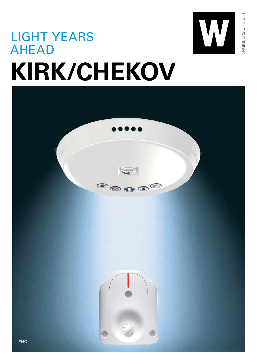

ENGINEERS OF LIGHT

ENGINEERS OF LIGHT

## LIGHT YEARS AHEAD **KIRK/CHEKOV**

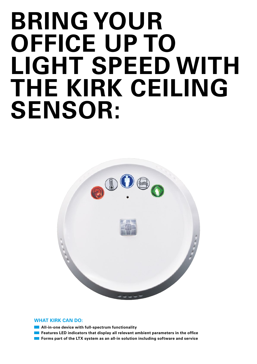# **BRING YOUR OFFICE UP TO LIGHT SPEED WITH THE KIRK CEILING SENSOR:**



#### **WHAT KIRK CAN DO:**

- **All-in-one device with full-spectrum functionality**
- **Features LED indicators that display all relevant ambient parameters in the office**
- **Forms part of the LTX system as an all-in solution including software and service**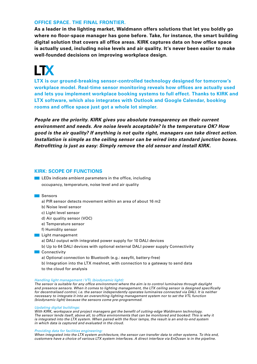#### **OFFICE SPACE. THE FINAL FRONTIER.**

**As a leader in the lighting market, Waldmann offers solutions that let you boldly go where no floor-space manager has gone before. Take, for instance, the smart building digital solution that covers all office areas. KIRK captures data on how office space is actually used, including noise levels and air quality. It's never been easier to make well-founded decisions on improving workplace design.**

### **LTX**

**LTX is our ground-breaking sensor-controlled technology designed for tomorrow's workplace model. Real-time sensor monitoring reveals how offices are actually used and lets you implement workplace booking systems to full effect. Thanks to KIRK and LTX software, which also integrates with Outlook and Google Calendar, booking rooms and office space just got a whole lot simpler.** 

*People are the priority. KIRK gives you absolute transparency on their current environment and needs. Are noise levels acceptable? Is the temperature OK? How good is the air quality? If anything is not quite right, managers can take direct action. Installation is simple as the ceiling sensor can be wired into standard junction boxes. Retrofitting is just as easy: Simply remove the old sensor and install KIRK.*

#### **KIRK: SCOPE OF FUNCTIONS**

**LEDs** indicate ambient parameters in the office, including occupancy, temperature, noise level and air quality

#### Sensors

- a) PIR sensor detects movement within an area of about 16 m2
- b) Noise level sensor
- c) Light level sensor
- d) Air quality sensor (VOC)
- e) Temperature sensor
- f) Humidity sensor

#### **Light management**

- a) DALI output with integrated power supply for 10 DALI devices
- b) Up to 64 DALI devices with optional external DALI power supply Connectivity
- **Connectivity** 
	- a) Optional connection to Bluetooth (e.g.: easyfit, battery-free)
	- b) Integration into the LTX meshnet, with connection to a gateway to send data
	- to the cloud for analysis

#### *Handling light management / VTL (biodynamic light):*

*The sensor is suitable for any office environment where the aim is to control luminaires through daylight and presence sensors. When it comes to lighting management, the LTX ceiling sensor is designed specifically for decentralised control, i.e. the sensor independently operates luminaires connected via DALI. It is neither necessary to integrate it into an overarching lighting management system nor to set the VTL function (biodynamic light) because the sensors come pre-programmed.*

#### *Updating digital buildings:*

*With KIRK, workspace and project managers get the benefit of cutting-edge Waldmann technology. The sensor lends itself, above all, to office environments that can be monitored and booked: This is why it is integrated into the LTX system. When paired with the floor lamps, the result is an end-to-end system in which data is captured and evaluated in the cloud.*

#### *Providing data for facilities engineering:*

*When integrated into the LTX system architecture, the sensor can transfer data to other systems. To this end, customers have a choice of various LTX system interfaces. A direct interface via EnOcean is in the pipeline.*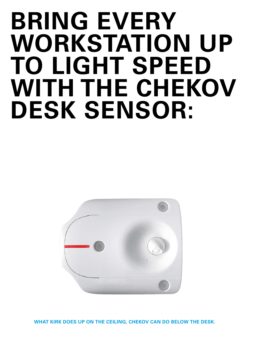# **BRING EVERY WORKSTATION UP TO LIGHT SPEED WITH THE CHEKOV DESK SENSOR:**



**WHAT KIRK DOES UP ON THE CEILING, CHEKOV CAN DO BELOW THE DESK.**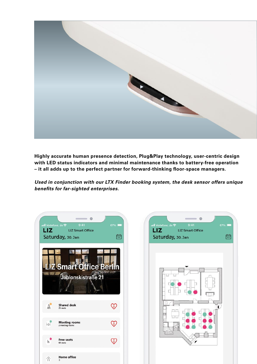

**Highly accurate human presence detection, Plug&Play technology, user-centric design with LED status indicators and minimal maintenance thanks to battery-free operation – it all adds up to the perfect partner for forward-thinking floor-space managers.**

*Used in conjunction with our LTX Finder booking system, the desk sensor offers unique benefits for far-sighted enterprises.*

 $\mathbb{R}^n$ 

| ···ll Vodafone, de 令<br>LIZ                     | 9:41<br><b>Example 21 LIZ Smart Office</b><br>Saturday, 30. Jan | 67%<br>$\overline{\bullet}$ |  |  |
|-------------------------------------------------|-----------------------------------------------------------------|-----------------------------|--|--|
| <b>Z Smart Office Ber</b><br>Jablonskistraße 21 |                                                                 |                             |  |  |
| Å,                                              | <b>Shared desk</b><br>25 seats                                  |                             |  |  |
| h                                               | <b>Meeting rooms</b><br>2 meeting rooms                         |                             |  |  |
| H,                                              | <b>Free seats</b><br>60 seats                                   |                             |  |  |
|                                                 | <b>Home office</b><br>$\cdot$                                   |                             |  |  |

| 9:41<br>ntl Vodafone, de 중<br>LIZ <sub>U</sub><br><b>LIZ Smart Office</b> | 67%                     |
|---------------------------------------------------------------------------|-------------------------|
| Saturday, 30. Jan                                                         | $\frac{1}{2}$           |
|                                                                           |                         |
|                                                                           |                         |
|                                                                           |                         |
|                                                                           |                         |
|                                                                           | $\overline{\mathbf{I}}$ |
|                                                                           |                         |
|                                                                           |                         |
|                                                                           |                         |
|                                                                           |                         |

**Contract Contract**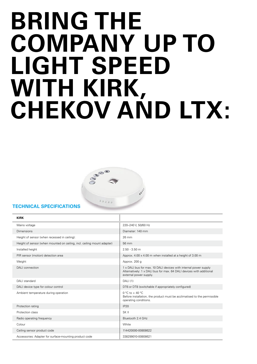# **BRING THE COMPANY UP TO LIGHT SPEED WITH KIRK, CHEKOV AND LTX:**



#### **TECHNICAL SPECIFICATIONS**

| <b>KIRK</b>                                                             |                                                                                                                                                                    |
|-------------------------------------------------------------------------|--------------------------------------------------------------------------------------------------------------------------------------------------------------------|
| Mains voltage                                                           | 220-240 V, 50/60 Hz                                                                                                                                                |
| Dimensions                                                              | Diameter: 140 mm                                                                                                                                                   |
| Height of sensor (when recessed in ceiling):                            | 26 mm                                                                                                                                                              |
| Height of sensor (when mounted on ceiling, incl. ceiling mount adapter) | 56 mm                                                                                                                                                              |
| Installed height                                                        | $2.50 - 3.50$ m                                                                                                                                                    |
| PIR sensor (motion) detection area                                      | Approx. 4.00 x 4.00 m when installed at a height of 3.00 m                                                                                                         |
| Weight                                                                  | Approx. 200 q                                                                                                                                                      |
| DALI connection                                                         | 1 x DALI bus for max. 10 DALI devices with internal power supply<br>Alternatively: 1 x DALI bus for max. 64 DALI devices with additional<br>external power supply. |
| DALI standard                                                           | DALI(1)                                                                                                                                                            |
| DALI device type for colour control                                     | DT6 or DT8 (switchable if appropriately configured)                                                                                                                |
| Ambient temperature during operation                                    | 0 °C to + 40 °C<br>Before installation, the product must be acclimatised to the permissible<br>operating conditions.                                               |
| Protection rating                                                       | IP20                                                                                                                                                               |
| Protection class                                                        | SK II                                                                                                                                                              |
| Radio operating frequency                                               | Bluetooth 2.4 GHz                                                                                                                                                  |
| Colour                                                                  | White                                                                                                                                                              |
| Ceiling sensor product code                                             | 114420000-00808622                                                                                                                                                 |
| Accessories: Adapter for surface-mounting product code                  | 338299010-00808621                                                                                                                                                 |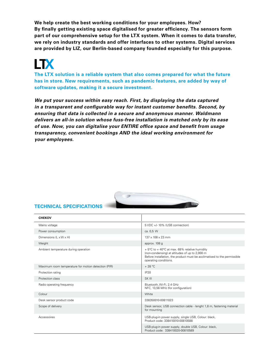**We help create the best working conditions for your employees. How? By finally getting existing space digitalised for greater efficiency. The sensors form part of our comprehensive setup for the LTX system. When it comes to data transfer, we rely on industry standards and offer interfaces to other systems. Digital services are provided by LIZ, our Berlin-based company founded especially for this purpose.**

## **LTX**

**The LTX solution is a reliable system that also comes prepared for what the future has in store. New requirements, such as pandemic features, are added by way of software updates, making it a secure investment.**

*We put your success within easy reach. First, by displaying the data captured in a transparent and configurable way for instant customer benefits. Second, by ensuring that data is collected in a secure and anonymous manner. Waldmann delivers an all-in solution whose fuss-free installation is matched only by its ease of use. Now, you can digitalise your ENTIRE office space and benefit from usage transparency, convenient bookings AND the ideal working environment for your employees.* 



#### **TECHNICAL SPECIFICATIONS**

| <b>CHEKOV</b>                                       |                                                                                                                                                                                                      |
|-----------------------------------------------------|------------------------------------------------------------------------------------------------------------------------------------------------------------------------------------------------------|
| Mains voltage                                       | 5 VDC +/- 10% (USB connection)                                                                                                                                                                       |
| Power consumption                                   | ca. 0,5 W                                                                                                                                                                                            |
| Dimensions $(L \times W \times H)$                  | $137 \times 108 \times 23$ mm                                                                                                                                                                        |
| Weight                                              | approx. 108 g                                                                                                                                                                                        |
| Ambient temperature during operation                | + 5°C to + 40°C at max. 68% relative humidity<br>(non-condensing) at altitudes of up to 2,000 m<br>Before installation, the product must be acclimatised to the permissible<br>operating conditions. |
| Maximum room temperature for motion detection (PIR) | $+28 °C$                                                                                                                                                                                             |
| Protection rating                                   | IP20                                                                                                                                                                                                 |
| Protection class                                    | SK III                                                                                                                                                                                               |
| Radio operating frequency                           | Bluetooth, Wi-Fi, 2.4 GHz<br>NFC, 13,56 MHz (for configuration)                                                                                                                                      |
| Colour                                              | White                                                                                                                                                                                                |
| Desk sensor product code                            | 338350010-00811023                                                                                                                                                                                   |
| Scope of delivery                                   | Desk sensor, USB connection cable - lenght 1,8 m, fastening material<br>for mounting                                                                                                                 |
| Accessoires                                         | USB-plug-in power supply, single USB, Colour: black,<br>Product code: 338410010-00810588                                                                                                             |
|                                                     | USB-plug-in power supply, double USB, Colour: black,<br>Product code: 338410020-00810589                                                                                                             |